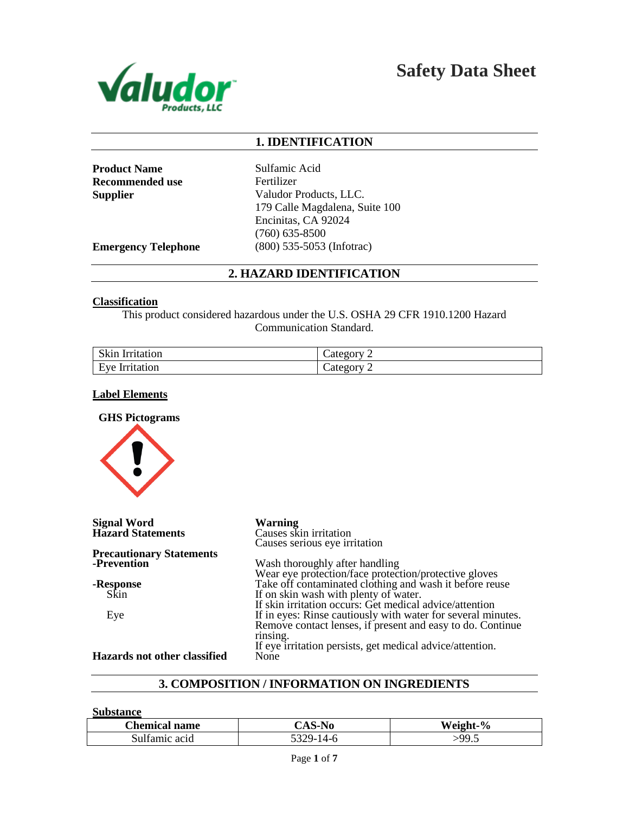

**Safety Data Sheet**

# **1. IDENTIFICATION**

**Product Name** Sulfamic Acid **Recommended use** Fertilizer

**Supplier** Valudor Products, LLC. 179 Calle Magdalena, Suite 100 Encinitas, CA 92024 (760) 635-8500 **Emergency Telephone** (800) 535-5053 (Infotrac)

# **2. HAZARD IDENTIFICATION**

### **Classification**

This product considered hazardous under the U.S. OSHA 29 CFR 1910.1200 Hazard Communication Standard.

| Skin                        | cate         |
|-----------------------------|--------------|
| Irritation                  | -            |
| $Fv\rho$<br>Irritation<br>- | categor<br>- |

## **Label Elements**

**GHS Pictograms** 



**Signal Word Warning Hazard Statements** 

#### **Precautionary Statements -Prevention**

**-Response** Skin

Eye

Causes serious eye irritation Wash thoroughly after handling Wear eye protection/face protection/protective gloves Take off contaminated clothing and wash it before reuse If on skin wash with plenty of water. If skin irritation occurs: Get medical advice/attention If in eyes: Rinse cautiously with water for several minutes. Remove contact lenses, if present and easy to do. Continue

If eye irritation persists, get medical advice/attention.

**Hazards not other classified** 

# **3. COMPOSITION / INFORMATION ON INGREDIENTS**

rinsing.

#### **Substance**

| <b>Chemical name</b> | CAS-N0     | Weight-<br>$\frac{6}{6}$   |
|----------------------|------------|----------------------------|
| Sulfamic acid        | $5329 - 1$ | $\sim$ 00 $\sim$<br>′ ⁄ •∼ |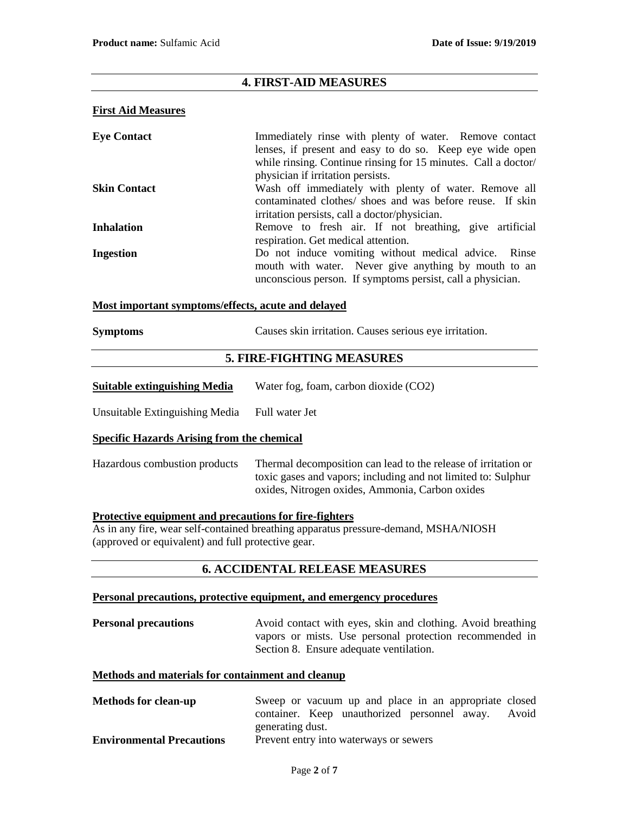# **4. FIRST-AID MEASURES**

## **First Aid Measures**

| <b>Eye Contact</b>  | Immediately rinse with plenty of water. Remove contact         |
|---------------------|----------------------------------------------------------------|
|                     | lenses, if present and easy to do so. Keep eye wide open       |
|                     | while rinsing. Continue rinsing for 15 minutes. Call a doctor/ |
|                     | physician if irritation persists.                              |
| <b>Skin Contact</b> | Wash off immediately with plenty of water. Remove all          |
|                     | contaminated clothes/ shoes and was before reuse. If skin      |
|                     | irritation persists, call a doctor/physician.                  |
| <b>Inhalation</b>   | Remove to fresh air. If not breathing, give artificial         |
|                     | respiration. Get medical attention.                            |
| <b>Ingestion</b>    | Do not induce vomiting without medical advice. Rinse           |
|                     | mouth with water. Never give anything by mouth to an           |
|                     | unconscious person. If symptoms persist, call a physician.     |

### **Most important symptoms/effects, acute and delayed**

| <b>Symptoms</b> |  | Causes skin irritation. Causes serious eye irritation. |
|-----------------|--|--------------------------------------------------------|
|-----------------|--|--------------------------------------------------------|

# **5. FIRE-FIGHTING MEASURES**

| <b>Suitable extinguishing Media</b> | Water fog, foam, carbon dioxide (CO2) |
|-------------------------------------|---------------------------------------|
|                                     |                                       |

Unsuitable Extinguishing Media Full water Jet

## **Specific Hazards Arising from the chemical**

Hazardous combustion products Thermal decomposition can lead to the release of irritation or toxic gases and vapors; including and not limited to: Sulphur oxides, Nitrogen oxides, Ammonia, Carbon oxides

## **Protective equipment and precautions for fire-fighters**

As in any fire, wear self-contained breathing apparatus pressure-demand, MSHA/NIOSH (approved or equivalent) and full protective gear.

# **6. ACCIDENTAL RELEASE MEASURES**

## **Personal precautions, protective equipment, and emergency procedures**

**Personal precautions** Avoid contact with eyes, skin and clothing. Avoid breathing vapors or mists. Use personal protection recommended in Section 8. Ensure adequate ventilation.

## **Methods and materials for containment and cleanup**

**Methods for clean-up** Sweep or vacuum up and place in an appropriate closed container. Keep unauthorized personnel away. Avoid generating dust. **Environmental Precautions** Prevent entry into waterways or sewers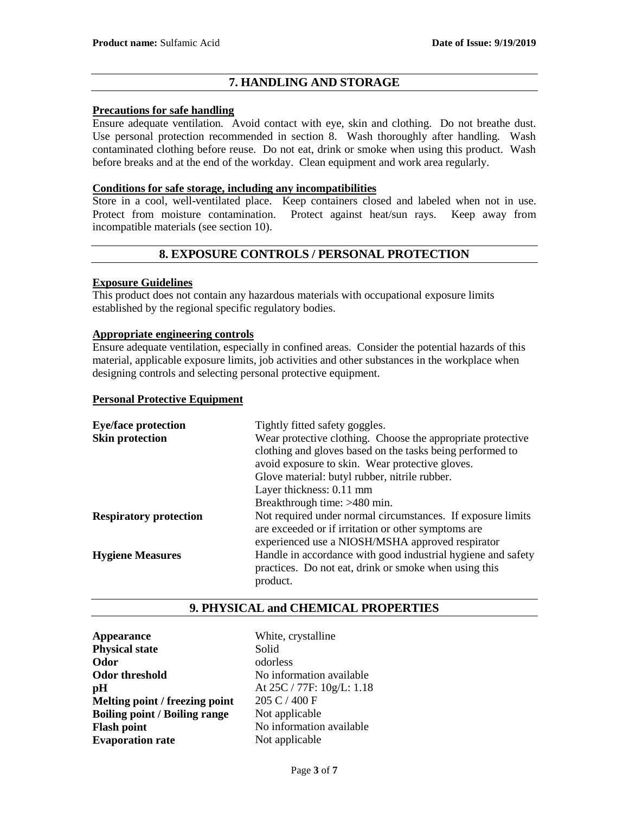# **7. HANDLING AND STORAGE**

# **Precautions for safe handling**

Ensure adequate ventilation. Avoid contact with eye, skin and clothing. Do not breathe dust. Use personal protection recommended in section 8. Wash thoroughly after handling. Wash contaminated clothing before reuse. Do not eat, drink or smoke when using this product. Wash before breaks and at the end of the workday. Clean equipment and work area regularly.

# **Conditions for safe storage, including any incompatibilities**

Store in a cool, well-ventilated place. Keep containers closed and labeled when not in use. Protect from moisture contamination. Protect against heat/sun rays. Keep away from incompatible materials (see section 10).

# **8. EXPOSURE CONTROLS / PERSONAL PROTECTION**

## **Exposure Guidelines**

This product does not contain any hazardous materials with occupational exposure limits established by the regional specific regulatory bodies.

## **Appropriate engineering controls**

Ensure adequate ventilation, especially in confined areas. Consider the potential hazards of this material, applicable exposure limits, job activities and other substances in the workplace when designing controls and selecting personal protective equipment.

## **Personal Protective Equipment**

| <b>Eye/face protection</b>    | Tightly fitted safety goggles.                               |  |  |
|-------------------------------|--------------------------------------------------------------|--|--|
| <b>Skin protection</b>        | Wear protective clothing. Choose the appropriate protective  |  |  |
|                               | clothing and gloves based on the tasks being performed to    |  |  |
|                               | avoid exposure to skin. Wear protective gloves.              |  |  |
|                               | Glove material: butyl rubber, nitrile rubber.                |  |  |
|                               | Layer thickness: 0.11 mm                                     |  |  |
|                               | Breakthrough time: >480 min.                                 |  |  |
| <b>Respiratory protection</b> | Not required under normal circumstances. If exposure limits  |  |  |
|                               | are exceeded or if irritation or other symptoms are          |  |  |
|                               | experienced use a NIOSH/MSHA approved respirator             |  |  |
| <b>Hygiene Measures</b>       | Handle in accordance with good industrial hygiene and safety |  |  |
|                               | practices. Do not eat, drink or smoke when using this        |  |  |
|                               | product.                                                     |  |  |

# **9. PHYSICAL and CHEMICAL PROPERTIES**

**Appearance** White, crystalline **Physical state** Solid **Odor** odorless **Odor threshold** No information available **pH** At 25C / 77F:  $10g/L$ : 1.18 **Melting point / freezing point** 205 C / 400 F **Boiling point / Boiling range** Not applicable **Flash point** No information available **Evaporation rate** Not applicable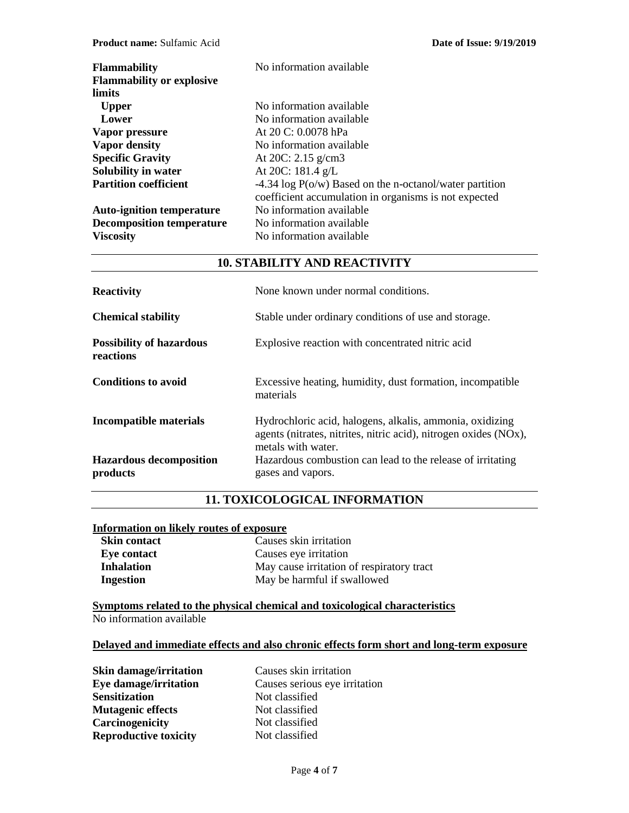| <b>Flammability</b>                        | No information available                                   |
|--------------------------------------------|------------------------------------------------------------|
| <b>Flammability or explosive</b><br>limits |                                                            |
|                                            | No information available                                   |
| <b>Upper</b>                               |                                                            |
| Lower                                      | No information available                                   |
| Vapor pressure                             | At 20 C: 0.0078 hPa                                        |
| Vapor density                              | No information available                                   |
| <b>Specific Gravity</b>                    | At 20C: $2.15$ g/cm3                                       |
| Solubility in water                        | At 20C: 181.4 g/L                                          |
| <b>Partition coefficient</b>               | $-4.34 \log P(o/w)$ Based on the n-octanol/water partition |
|                                            | coefficient accumulation in organisms is not expected      |
| <b>Auto-ignition temperature</b>           | No information available                                   |
| <b>Decomposition temperature</b>           | No information available                                   |
| <b>Viscosity</b>                           | No information available                                   |

# **10. STABILITY AND REACTIVITY**

| <b>Reactivity</b>                            | None known under normal conditions.                                                                                                                |  |
|----------------------------------------------|----------------------------------------------------------------------------------------------------------------------------------------------------|--|
| <b>Chemical stability</b>                    | Stable under ordinary conditions of use and storage.                                                                                               |  |
| <b>Possibility of hazardous</b><br>reactions | Explosive reaction with concentrated nitric acid                                                                                                   |  |
| <b>Conditions to avoid</b>                   | Excessive heating, humidity, dust formation, incompatible<br>materials                                                                             |  |
| <b>Incompatible materials</b>                | Hydrochloric acid, halogens, alkalis, ammonia, oxidizing<br>agents (nitrates, nitrites, nitric acid), nitrogen oxides (NOx),<br>metals with water. |  |
| <b>Hazardous decomposition</b><br>products   | Hazardous combustion can lead to the release of irritating<br>gases and vapors.                                                                    |  |

# **11. TOXICOLOGICAL INFORMATION**

# **Information on likely routes of exposure**

| <b>Skin contact</b> | Causes skin irritation                    |
|---------------------|-------------------------------------------|
| Eye contact         | Causes eye irritation                     |
| <b>Inhalation</b>   | May cause irritation of respiratory tract |
| <b>Ingestion</b>    | May be harmful if swallowed               |

**Symptoms related to the physical chemical and toxicological characteristics** No information available

# **Delayed and immediate effects and also chronic effects form short and long-term exposure**

| <b>Skin damage/irritation</b> | Causes skin irritation        |  |
|-------------------------------|-------------------------------|--|
| Eye damage/irritation         | Causes serious eye irritation |  |
| <b>Sensitization</b>          | Not classified                |  |
| <b>Mutagenic effects</b>      | Not classified                |  |
| Carcinogenicity               | Not classified                |  |
| <b>Reproductive toxicity</b>  | Not classified                |  |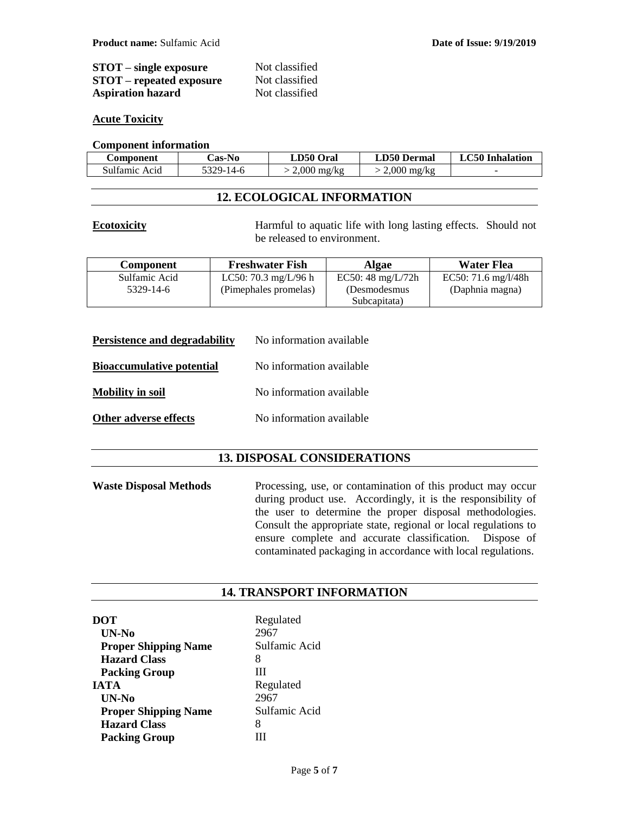| $STOT$ – single exposure        | Not classified |
|---------------------------------|----------------|
| <b>STOT</b> – repeated exposure | Not classified |
| <b>Aspiration hazard</b>        | Not classified |

## **Acute Toxicity**

## **Component information**

| C <b>omponent</b> | Cas-No    | LD50 (<br>Oral        | <b>LD50 Dermal</b>    | <b>LC50</b> Inhalation   |
|-------------------|-----------|-----------------------|-----------------------|--------------------------|
| Sulfamic Acid     | 5329-14-6 | $2,000 \text{ mg/kg}$ | $2,000 \text{ mg/kg}$ | $\overline{\phantom{a}}$ |

# **12. ECOLOGICAL INFORMATION**

**Ecotoxicity** Harmful to aquatic life with long lasting effects. Should not be released to environment.

| <b>Component</b> | <b>Freshwater Fish</b> | Algae                       | <b>Water Flea</b>                      |
|------------------|------------------------|-----------------------------|----------------------------------------|
| Sulfamic Acid    | LC50: 70.3 mg/L/96 h   | EC50: $48 \text{ mg/L}/72h$ | EC50: $71.6 \text{ mg}/\frac{1}{48}$ h |
| 5329-14-6        | (Pimephales promelas)  | (Desmodesmus)               | (Daphnia magna)                        |
|                  |                        | Subcapitata)                |                                        |

| <b>Persistence and degradability</b> | No information available |
|--------------------------------------|--------------------------|
| <b>Bioaccumulative potential</b>     | No information available |
| <b>Mobility in soil</b>              | No information available |
| Other adverse effects                | No information available |

# **13. DISPOSAL CONSIDERATIONS**

**Waste Disposal Methods** Processing, use, or contamination of this product may occur during product use. Accordingly, it is the responsibility of the user to determine the proper disposal methodologies. Consult the appropriate state, regional or local regulations to ensure complete and accurate classification. Dispose of contaminated packaging in accordance with local regulations.

# **14. TRANSPORT INFORMATION**

| DOT                         | Regulated     |
|-----------------------------|---------------|
| UN-No                       | 2967          |
| <b>Proper Shipping Name</b> | Sulfamic Acid |
| <b>Hazard Class</b>         | 8             |
| <b>Packing Group</b>        | Ш             |
| <b>IATA</b>                 | Regulated     |
| UN-No                       | 2967          |
| <b>Proper Shipping Name</b> | Sulfamic Acid |
| <b>Hazard Class</b>         | 8             |
| <b>Packing Group</b>        |               |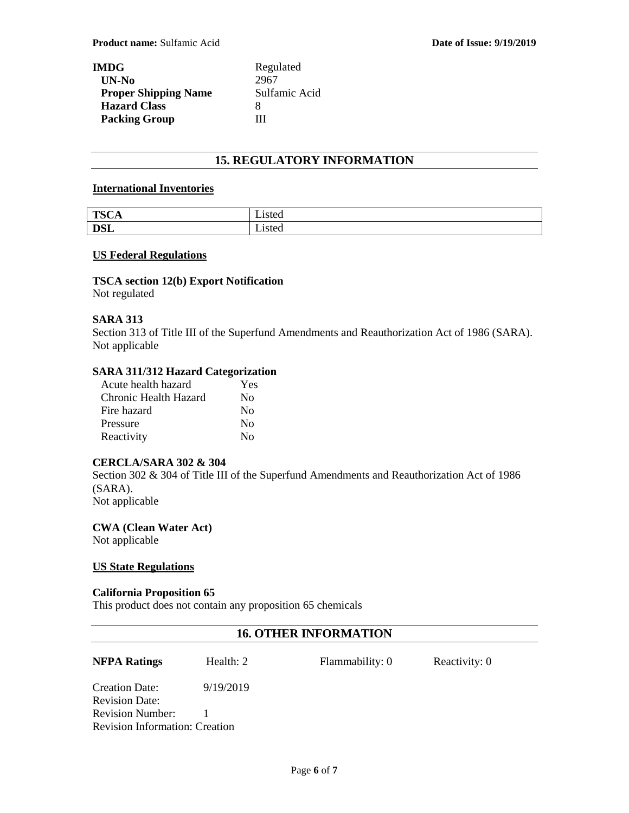| IMDG-                       | Regulated     |  |
|-----------------------------|---------------|--|
| UN-No                       | 2967          |  |
| <b>Proper Shipping Name</b> | Sulfamic Acid |  |
| <b>Hazard Class</b>         | x             |  |
| <b>Packing Group</b>        | Ш             |  |

# **15. REGULATORY INFORMATION**

# **International Inventories**

| $TCC$ $\Lambda$<br>UA.<br>- 1<br>ᆂ | .1sted |
|------------------------------------|--------|
| <b>DSL</b>                         | ∟ısted |

## **US Federal Regulations**

# **TSCA section 12(b) Export Notification**

Not regulated

# **SARA 313**

Section 313 of Title III of the Superfund Amendments and Reauthorization Act of 1986 (SARA). Not applicable

# **SARA 311/312 Hazard Categorization**

| Acute health hazard   | Yes                     |
|-----------------------|-------------------------|
| Chronic Health Hazard | No                      |
| Fire hazard           | $\rm No$                |
| Pressure              | No                      |
| Reactivity            | $\overline{N}_{\Omega}$ |

# **CERCLA/SARA 302 & 304**

Section 302 & 304 of Title III of the Superfund Amendments and Reauthorization Act of 1986 (SARA). Not applicable

**CWA (Clean Water Act)** Not applicable

## **US State Regulations**

## **California Proposition 65**

This product does not contain any proposition 65 chemicals

# **16. OTHER INFORMATION**

**NFPA Ratings** Health: 2 Flammability: 0 Reactivity: 0

Creation Date: 9/19/2019 Revision Date: Revision Number: 1 Revision Information: Creation